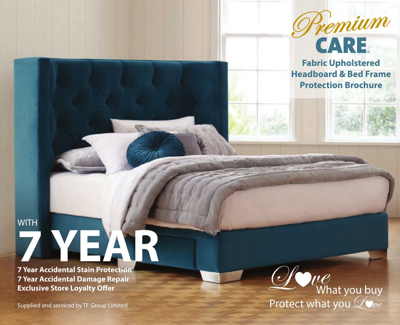

**Fabric Upholstered Headboard & Bed Frame Protection Brochure** 

**ITS INC** 

# **WITH 7 YEAR 7 Year Accidental Stain Protection**

**7 Year Accidental Damage Repair Exclusive Store Loyalty Offer**

Supplied and serviced by TF Group Limited

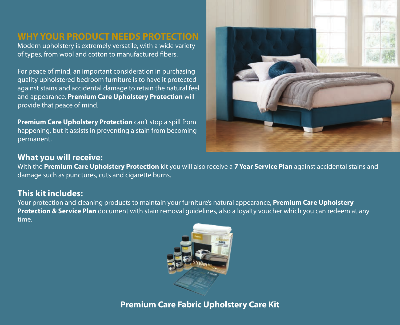#### **WHY YOUR PRODUCT NEEDS PROTECTION**

Modern upholstery is extremely versatile, with a wide variety of types, from wool and cotton to manufactured fibers.

For peace of mind, an important consideration in purchasing quality upholstered bedroom furniture is to have it protected against stains and accidental damage to retain the natural feel and appearance. **Premium Care Upholstery Protection** will provide that peace of mind.

**Premium Care Upholstery Protection** can't stop a spill from happening, but it assists in preventing a stain from becoming permanent.



#### **What you will receive:**

With the **Premium Care Upholstery Protection** kit you will also receive a **7 Year Service Plan** against accidental stains and damage such as punctures, cuts and cigarette burns.

#### **This kit includes:**

Your protection and cleaning products to maintain your furniture's natural appearance, **Premium Care Upholstery Protection & Service Plan** document with stain removal guidelines, also a loyalty voucher which you can redeem at any time.



**Premium Care Fabric Upholstery Care Kit**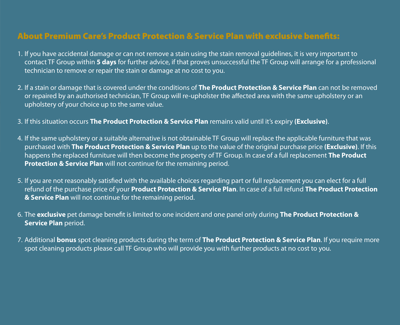#### About Premium Care's Product Protection & Service Plan with exclusive benefits:

- 1. If you have accidental damage or can not remove a stain using the stain removal guidelines, it is very important to contact TF Group within **5 days** for further advice, if that proves unsuccessful the TF Group will arrange for a professional technician to remove or repair the stain or damage at no cost to you.
- 2. If a stain or damage that is covered under the conditions of **The Product Protection & Service Plan** can not be removed or repaired by an authorised technician, TF Group will re-upholster the affected area with the same upholstery or an upholstery of your choice up to the same value.
- 3. If this situation occurs **The Product Protection & Service Plan** remains valid until it's expiry **(Exclusive)**.
- 4. If the same upholstery or a suitable alternative is not obtainable TF Group will replace the applicable furniture that was purchased with **The Product Protection & Service Plan** up to the value of the original purchase price **(Exclusive)**. If this happens the replaced furniture will then become the property of TF Group. In case of a full replacement **The Product Protection & Service Plan** will not continue for the remaining period.
- 5. If you are not reasonably satisfied with the available choices regarding part or full replacement you can elect for a full refund of the purchase price of your **Product Protection & Service Plan**. In case of a full refund **The Product Protection & Service Plan** will not continue for the remaining period.
- 6. The **exclusive** pet damage benefit is limited to one incident and one panel only during **The Product Protection & Service Plan** period.
- 7. Additional **bonus** spot cleaning products during the term of **The Product Protection & Service Plan**. If you require more spot cleaning products please call TF Group who will provide you with further products at no cost to you.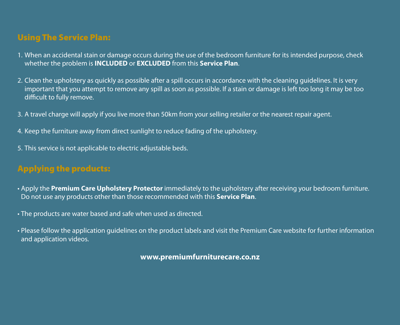## Using The Service Plan:

- 1. When an accidental stain or damage occurs during the use of the bedroom furniture for its intended purpose, check whether the problem is **INCLUDED** or **EXCLUDED** from this **Service Plan**.
- 2. Clean the upholstery as quickly as possible after a spill occurs in accordance with the cleaning guidelines. It is very important that you attempt to remove any spill as soon as possible. If a stain or damage is left too long it may be too difficult to fully remove.
- 3. A travel charge will apply if you live more than 50km from your selling retailer or the nearest repair agent.
- 4. Keep the furniture away from direct sunlight to reduce fading of the upholstery.
- 5. This service is not applicable to electric adjustable beds.

# Applying the products:

- Apply the **Premium Care Upholstery Protector** immediately to the upholstery after receiving your bedroom furniture. Do not use any products other than those recommended with this **Service Plan**.
- The products are water based and safe when used as directed.
- Please follow the application guidelines on the product labels and visit the Premium Care website for further information and application videos.

**www.premiumfurniturecare.co.nz**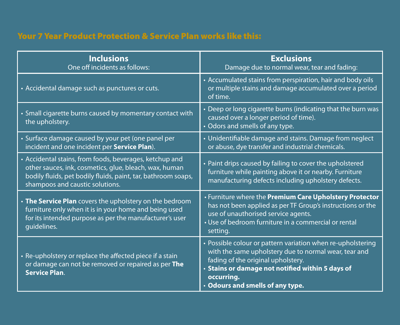### Your 7 Year Product Protection & Service Plan works like this:

| <b>Inclusions</b><br>One off incidents as follows:                                                                                                                                                                    | <b>Exclusions</b><br>Damage due to normal wear, tear and fading:                                                                                                                                                                                                 |
|-----------------------------------------------------------------------------------------------------------------------------------------------------------------------------------------------------------------------|------------------------------------------------------------------------------------------------------------------------------------------------------------------------------------------------------------------------------------------------------------------|
| • Accidental damage such as punctures or cuts.                                                                                                                                                                        | • Accumulated stains from perspiration, hair and body oils<br>or multiple stains and damage accumulated over a period<br>of time.                                                                                                                                |
| • Small cigarette burns caused by momentary contact with<br>the upholstery.                                                                                                                                           | • Deep or long cigarette burns (indicating that the burn was<br>caused over a longer period of time).<br>• Odors and smells of any type.                                                                                                                         |
| • Surface damage caused by your pet (one panel per<br>incident and one incident per Service Plan).                                                                                                                    | • Unidentifiable damage and stains. Damage from neglect<br>or abuse, dye transfer and industrial chemicals.                                                                                                                                                      |
| • Accidental stains, from foods, beverages, ketchup and<br>other sauces, ink, cosmetics, glue, bleach, wax, human<br>bodily fluids, pet bodily fluids, paint, tar, bathroom soaps,<br>shampoos and caustic solutions. | • Paint drips caused by failing to cover the upholstered<br>furniture while painting above it or nearby. Furniture<br>manufacturing defects including upholstery defects.                                                                                        |
| • The Service Plan covers the upholstery on the bedroom<br>furniture only when it is in your home and being used<br>for its intended purpose as per the manufacturer's user<br>quidelines.                            | • Furniture where the Premium Care Upholstery Protector<br>has not been applied as per TF Group's instructions or the<br>use of unauthorised service agents.<br>• Use of bedroom furniture in a commercial or rental<br>setting.                                 |
| • Re-upholstery or replace the affected piece if a stain<br>or damage can not be removed or repaired as per The<br><b>Service Plan.</b>                                                                               | • Possible colour or pattern variation when re-upholstering<br>with the same upholstery due to normal wear, tear and<br>fading of the original upholstery.<br>· Stains or damage not notified within 5 days of<br>occurring.<br>. Odours and smells of any type. |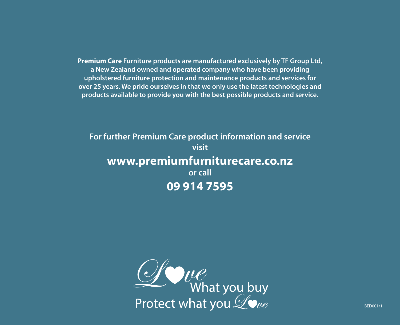**Premium Care Furniture products are manufactured exclusively by TF Group Ltd, a New Zealand owned and operated company who have been providing upholstered furniture protection and maintenance products and services for over 25 years. We pride ourselves in that we only use the latest technologies and products available to provide you with the best possible products and service.**

# **For further Premium Care product information and service visit www.premiumfurniturecare.co.nz or call 09 914 7595**